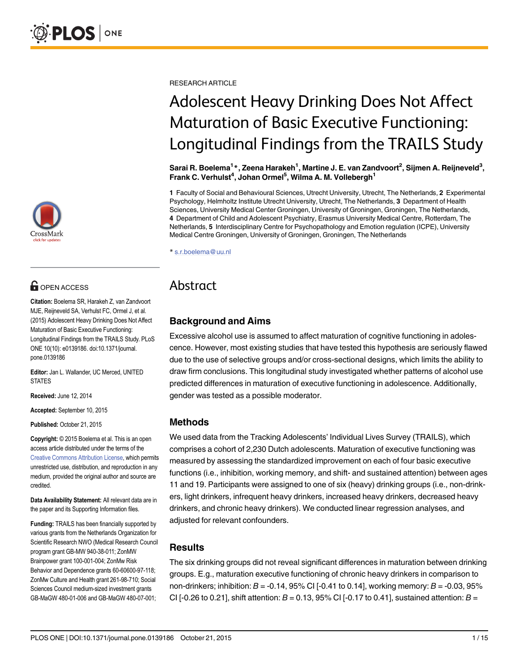

# **O** OPEN ACCESS

Citation: Boelema SR, Harakeh Z, van Zandvoort MJE, Reijneveld SA, Verhulst FC, Ormel J, et al. (2015) Adolescent Heavy Drinking Does Not Affect Maturation of Basic Executive Functioning: Longitudinal Findings from the TRAILS Study. PLoS ONE 10(10): e0139186. doi:10.1371/journal. pone.0139186

Editor: Jan L. Wallander, UC Merced, UNITED **STATES** 

Received: June 12, 2014

Accepted: September 10, 2015

Published: October 21, 2015

Copyright: © 2015 Boelema et al. This is an open access article distributed under the terms of the [Creative Commons Attribution License,](http://creativecommons.org/licenses/by/4.0/) which permits unrestricted use, distribution, and reproduction in any medium, provided the original author and source are credited.

Data Availability Statement: All relevant data are in the paper and its Supporting Information files.

Funding: TRAILS has been financially supported by various grants from the Netherlands Organization for Scientific Research NWO (Medical Research Council program grant GB-MW 940-38-011; ZonMW Brainpower grant 100-001-004; ZonMw Risk Behavior and Dependence grants 60-60600-97-118; ZonMw Culture and Health grant 261-98-710; Social Sciences Council medium-sized investment grants GB-MaGW 480-01-006 and GB-MaGW 480-07-001;

RESEARCH ARTICLE

# Adolescent Heavy Drinking Does Not Affect Maturation of Basic Executive Functioning: Longitudinal Findings from the TRAILS Study

Sarai R. Boelema<sup>1</sup>\*, Zeena Harakeh<sup>1</sup>, Martine J. E. van Zandvoort<sup>2</sup>, Sijmen A. Reijneveld<sup>3</sup>, Frank C. Verhulst<sup>4</sup>, Johan Ormel<sup>5</sup>, Wilma A. M. Vollebergh<sup>1</sup>

1 Faculty of Social and Behavioural Sciences, Utrecht University, Utrecht, The Netherlands, 2 Experimental Psychology, Helmholtz Institute Utrecht University, Utrecht, The Netherlands, 3 Department of Health Sciences, University Medical Center Groningen, University of Groningen, Groningen, The Netherlands, 4 Department of Child and Adolescent Psychiatry, Erasmus University Medical Centre, Rotterdam, The Netherlands, 5 Interdisciplinary Centre for Psychopathology and Emotion regulation (ICPE), University Medical Centre Groningen, University of Groningen, Groningen, The Netherlands

\* s.r.boelema@uu.nl

# Abstract

# Background and Aims

Excessive alcohol use is assumed to affect maturation of cognitive functioning in adolescence. However, most existing studies that have tested this hypothesis are seriously flawed due to the use of selective groups and/or cross-sectional designs, which limits the ability to draw firm conclusions. This longitudinal study investigated whether patterns of alcohol use predicted differences in maturation of executive functioning in adolescence. Additionally, gender was tested as a possible moderator.

#### Methods

We used data from the Tracking Adolescents' Individual Lives Survey (TRAILS), which comprises a cohort of 2,230 Dutch adolescents. Maturation of executive functioning was measured by assessing the standardized improvement on each of four basic executive functions (i.e., inhibition, working memory, and shift- and sustained attention) between ages 11 and 19. Participants were assigned to one of six (heavy) drinking groups (i.e., non-drinkers, light drinkers, infrequent heavy drinkers, increased heavy drinkers, decreased heavy drinkers, and chronic heavy drinkers). We conducted linear regression analyses, and adjusted for relevant confounders.

# Results

The six drinking groups did not reveal significant differences in maturation between drinking groups. E.g., maturation executive functioning of chronic heavy drinkers in comparison to non-drinkers; inhibition:  $B = -0.14$ , 95% CI [-0.41 to 0.14], working memory:  $B = -0.03$ , 95% CI [-0.26 to 0.21], shift attention:  $B = 0.13$ , 95% CI [-0.17 to 0.41], sustained attention:  $B =$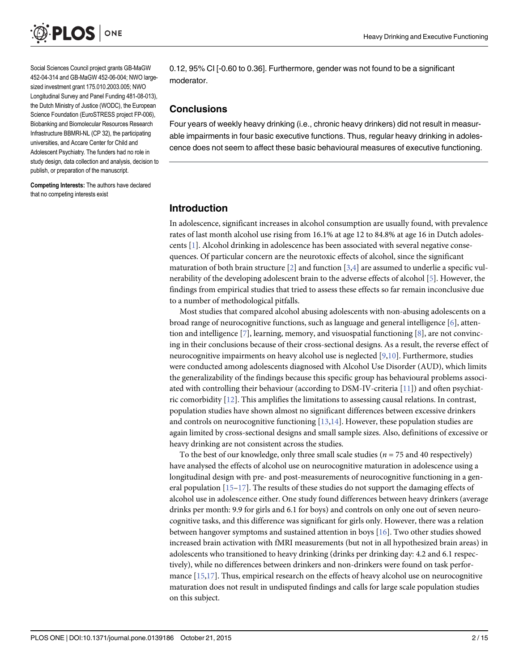<span id="page-1-0"></span>

Social Sciences Council project grants GB-MaGW 452-04-314 and GB-MaGW 452-06-004; NWO largesized investment grant 175.010.2003.005; NWO Longitudinal Survey and Panel Funding 481-08-013), the Dutch Ministry of Justice (WODC), the European Science Foundation (EuroSTRESS project FP-006), Biobanking and Biomolecular Resources Research Infrastructure BBMRI-NL (CP 32), the participating universities, and Accare Center for Child and Adolescent Psychiatry. The funders had no role in study design, data collection and analysis, decision to publish, or preparation of the manuscript.

Competing Interests: The authors have declared that no competing interests exist

0.12, 95% CI [-0.60 to 0.36]. Furthermore, gender was not found to be a significant moderator.

#### **Conclusions**

Four years of weekly heavy drinking (i.e., chronic heavy drinkers) did not result in measurable impairments in four basic executive functions. Thus, regular heavy drinking in adolescence does not seem to affect these basic behavioural measures of executive functioning.

#### Introduction

In adolescence, significant increases in alcohol consumption are usually found, with prevalence rates of last month alcohol use rising from 16.1% at age 12 to 84.8% at age 16 in Dutch adolescents [\[1\]](#page-12-0). Alcohol drinking in adolescence has been associated with several negative consequences. Of particular concern are the neurotoxic effects of alcohol, since the significant maturation of both brain structure  $[2]$  $[2]$  and function  $[3,4]$  $[3,4]$  $[3,4]$  are assumed to underlie a specific vulnerability of the developing adolescent brain to the adverse effects of alcohol [[5](#page-12-0)]. However, the findings from empirical studies that tried to assess these effects so far remain inconclusive due to a number of methodological pitfalls.

Most studies that compared alcohol abusing adolescents with non-abusing adolescents on a broad range of neurocognitive functions, such as language and general intelligence  $[6]$ , attention and intelligence  $\lbrack 7 \rbrack$ , learning, memory, and visuospatial functioning  $\lbrack 8 \rbrack$  $\lbrack 8 \rbrack$  $\lbrack 8 \rbrack$ , are not convincing in their conclusions because of their cross-sectional designs. As a result, the reverse effect of neurocognitive impairments on heavy alcohol use is neglected [[9,10](#page-13-0)]. Furthermore, studies were conducted among adolescents diagnosed with Alcohol Use Disorder (AUD), which limits the generalizability of the findings because this specific group has behavioural problems associated with controlling their behaviour (according to DSM-IV-criteria [\[11\]](#page-13-0)) and often psychiatric comorbidity [\[12\]](#page-13-0). This amplifies the limitations to assessing causal relations. In contrast, population studies have shown almost no significant differences between excessive drinkers and controls on neurocognitive functioning [\[13,14\]](#page-13-0). However, these population studies are again limited by cross-sectional designs and small sample sizes. Also, definitions of excessive or heavy drinking are not consistent across the studies.

To the best of our knowledge, only three small scale studies ( $n = 75$  and 40 respectively) have analysed the effects of alcohol use on neurocognitive maturation in adolescence using a longitudinal design with pre- and post-measurements of neurocognitive functioning in a general population [\[15](#page-13-0)–[17](#page-13-0)]. The results of these studies do not support the damaging effects of alcohol use in adolescence either. One study found differences between heavy drinkers (average drinks per month: 9.9 for girls and 6.1 for boys) and controls on only one out of seven neurocognitive tasks, and this difference was significant for girls only. However, there was a relation between hangover symptoms and sustained attention in boys [[16\]](#page-13-0). Two other studies showed increased brain activation with fMRI measurements (but not in all hypothesized brain areas) in adolescents who transitioned to heavy drinking (drinks per drinking day: 4.2 and 6.1 respectively), while no differences between drinkers and non-drinkers were found on task performance  $[15,17]$  $[15,17]$  $[15,17]$ . Thus, empirical research on the effects of heavy alcohol use on neurocognitive maturation does not result in undisputed findings and calls for large scale population studies on this subject.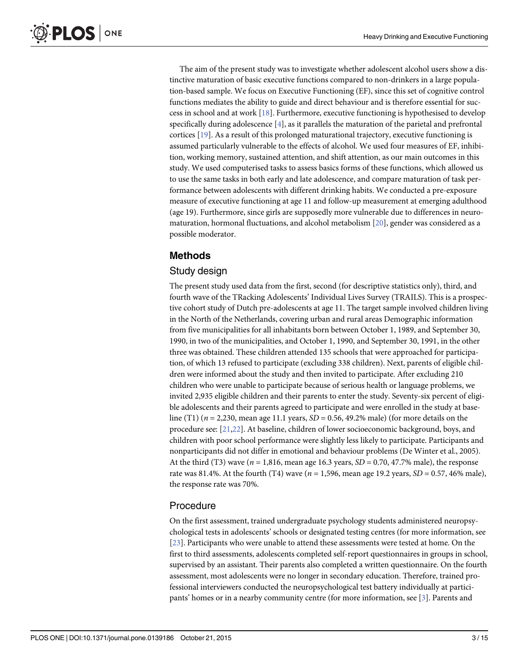<span id="page-2-0"></span>The aim of the present study was to investigate whether adolescent alcohol users show a distinctive maturation of basic executive functions compared to non-drinkers in a large population-based sample. We focus on Executive Functioning (EF), since this set of cognitive control functions mediates the ability to guide and direct behaviour and is therefore essential for success in school and at work [[18](#page-13-0)]. Furthermore, executive functioning is hypothesised to develop specifically during adolescence  $[4]$  $[4]$ , as it parallels the maturation of the parietal and prefrontal cortices [\[19\]](#page-13-0). As a result of this prolonged maturational trajectory, executive functioning is assumed particularly vulnerable to the effects of alcohol. We used four measures of EF, inhibition, working memory, sustained attention, and shift attention, as our main outcomes in this study. We used computerised tasks to assess basics forms of these functions, which allowed us to use the same tasks in both early and late adolescence, and compare maturation of task performance between adolescents with different drinking habits. We conducted a pre-exposure measure of executive functioning at age 11 and follow-up measurement at emerging adulthood (age 19). Furthermore, since girls are supposedly more vulnerable due to differences in neuromaturation, hormonal fluctuations, and alcohol metabolism  $[20]$  $[20]$  $[20]$ , gender was considered as a possible moderator.

# Methods

## Study design

The present study used data from the first, second (for descriptive statistics only), third, and fourth wave of the TRacking Adolescents' Individual Lives Survey (TRAILS). This is a prospective cohort study of Dutch pre-adolescents at age 11. The target sample involved children living in the North of the Netherlands, covering urban and rural areas Demographic information from five municipalities for all inhabitants born between October 1, 1989, and September 30, 1990, in two of the municipalities, and October 1, 1990, and September 30, 1991, in the other three was obtained. These children attended 135 schools that were approached for participation, of which 13 refused to participate (excluding 338 children). Next, parents of eligible children were informed about the study and then invited to participate. After excluding 210 children who were unable to participate because of serious health or language problems, we invited 2,935 eligible children and their parents to enter the study. Seventy-six percent of eligible adolescents and their parents agreed to participate and were enrolled in the study at baseline (T1) ( $n = 2,230$ , mean age 11.1 years,  $SD = 0.56$ , 49.2% male) (for more details on the procedure see: [\[21,22\]](#page-13-0). At baseline, children of lower socioeconomic background, boys, and children with poor school performance were slightly less likely to participate. Participants and nonparticipants did not differ in emotional and behaviour problems (De Winter et al., 2005). At the third (T3) wave ( $n = 1,816$ , mean age 16.3 years,  $SD = 0.70$ , 47.7% male), the response rate was 81.4%. At the fourth (T4) wave ( $n = 1,596$ , mean age 19.2 years,  $SD = 0.57$ , 46% male), the response rate was 70%.

#### **Procedure**

On the first assessment, trained undergraduate psychology students administered neuropsychological tests in adolescents' schools or designated testing centres (for more information, see [\[23](#page-13-0)]. Participants who were unable to attend these assessments were tested at home. On the first to third assessments, adolescents completed self-report questionnaires in groups in school, supervised by an assistant. Their parents also completed a written questionnaire. On the fourth assessment, most adolescents were no longer in secondary education. Therefore, trained professional interviewers conducted the neuropsychological test battery individually at participants' homes or in a nearby community centre (for more information, see [\[3](#page-12-0)]. Parents and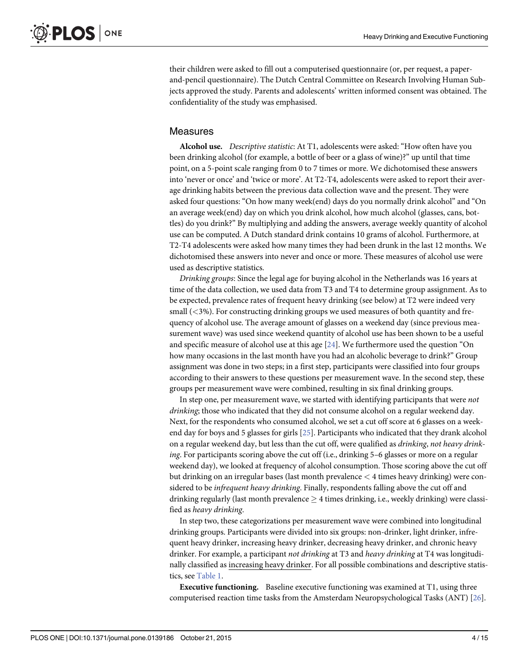<span id="page-3-0"></span>their children were asked to fill out a computerised questionnaire (or, per request, a paperand-pencil questionnaire). The Dutch Central Committee on Research Involving Human Subjects approved the study. Parents and adolescents' written informed consent was obtained. The confidentiality of the study was emphasised.

#### Measures

Alcohol use. *Descriptive statistic*: At T1, adolescents were asked: "How often have you been drinking alcohol (for example, a bottle of beer or a glass of wine)?" up until that time point, on a 5-point scale ranging from 0 to 7 times or more. We dichotomised these answers into 'never or once' and 'twice or more'. At T2-T4, adolescents were asked to report their average drinking habits between the previous data collection wave and the present. They were asked four questions: "On how many week(end) days do you normally drink alcohol" and "On an average week(end) day on which you drink alcohol, how much alcohol (glasses, cans, bottles) do you drink?" By multiplying and adding the answers, average weekly quantity of alcohol use can be computed. A Dutch standard drink contains 10 grams of alcohol. Furthermore, at T2-T4 adolescents were asked how many times they had been drunk in the last 12 months. We dichotomised these answers into never and once or more. These measures of alcohol use were used as descriptive statistics.

Drinking groups: Since the legal age for buying alcohol in the Netherlands was 16 years at time of the data collection, we used data from T3 and T4 to determine group assignment. As to be expected, prevalence rates of frequent heavy drinking (see below) at T2 were indeed very small (<3%). For constructing drinking groups we used measures of both quantity and frequency of alcohol use. The average amount of glasses on a weekend day (since previous measurement wave) was used since weekend quantity of alcohol use has been shown to be a useful and specific measure of alcohol use at this age  $[24]$ . We furthermore used the question "On how many occasions in the last month have you had an alcoholic beverage to drink?" Group assignment was done in two steps; in a first step, participants were classified into four groups according to their answers to these questions per measurement wave. In the second step, these groups per measurement wave were combined, resulting in six final drinking groups.

In step one, per measurement wave, we started with identifying participants that were not drinking; those who indicated that they did not consume alcohol on a regular weekend day. Next, for the respondents who consumed alcohol, we set a cut off score at 6 glasses on a weekend day for boys and 5 glasses for girls [\[25\]](#page-13-0). Participants who indicated that they drank alcohol on a regular weekend day, but less than the cut off, were qualified as drinking, not heavy drinking. For participants scoring above the cut off (i.e., drinking 5–6 glasses or more on a regular weekend day), we looked at frequency of alcohol consumption. Those scoring above the cut off but drinking on an irregular bases (last month prevalence < 4 times heavy drinking) were considered to be infrequent heavy drinking. Finally, respondents falling above the cut off and drinking regularly (last month prevalence  $\geq 4$  times drinking, i.e., weekly drinking) were classified as heavy drinking.

In step two, these categorizations per measurement wave were combined into longitudinal drinking groups. Participants were divided into six groups: non-drinker, light drinker, infrequent heavy drinker, increasing heavy drinker, decreasing heavy drinker, and chronic heavy drinker. For example, a participant not drinking at T3 and heavy drinking at T4 was longitudinally classified as increasing heavy drinker. For all possible combinations and descriptive statistics, see [Table 1](#page-4-0).

Executive functioning. Baseline executive functioning was examined at T1, using three computerised reaction time tasks from the Amsterdam Neuropsychological Tasks (ANT) [\[26\]](#page-13-0).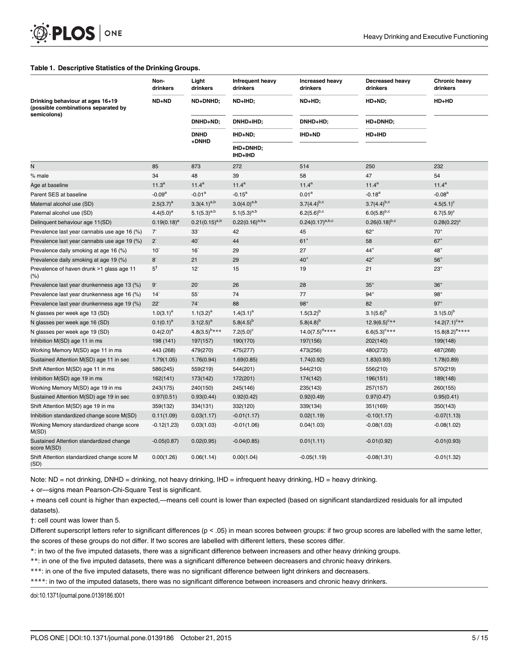#### <span id="page-4-0"></span>[Table 1.](#page-3-0) Descriptive Statistics of the Drinking Groups.

|                                                                                        | Non-<br>drinkers  | Light<br>drinkers    | Infrequent heavy<br>drinkers | <b>Increased heavy</b><br>drinkers | Decreased heavy<br>drinkers | Chronic heavy<br>drinkers |
|----------------------------------------------------------------------------------------|-------------------|----------------------|------------------------------|------------------------------------|-----------------------------|---------------------------|
| Drinking behaviour at ages 16+19<br>(possible combinations separated by<br>semicolons) | ND+ND             | ND+DNHD:             | ND+IHD;                      | ND+HD;                             | HD+ND;                      | HD+HD                     |
|                                                                                        |                   | DNHD+ND;             | DNHD+IHD;                    | DNHD+HD;                           | HD+DNHD;                    |                           |
|                                                                                        |                   | <b>DNHD</b><br>+DNHD | IHD+ND;                      | IHD+ND                             | HD+IHD                      |                           |
|                                                                                        |                   |                      | IHD+DNHD;<br>IHD+IHD         |                                    |                             |                           |
| N                                                                                      | 85                | 873                  | 272                          | 514                                | 250                         | 232                       |
| % male                                                                                 | 34                | 48                   | 39                           | 58                                 | 47                          | 54                        |
| Age at baseline                                                                        | 11.3 <sup>a</sup> | $11.4^a$             | $11.4^a$                     | $11.4^a$                           | $11.4^a$                    | $11.4^a$                  |
| Parent SES at baseline                                                                 | $-0.09a$          | $-0.01a$             | $-0.15^{\rm a}$              | 0.01 <sup>a</sup>                  | $-0.18a$                    | $-0.08a$                  |
| Maternal alcohol use (SD)                                                              | $2.5(3.7)^a$      | $3.3(4.1)^{a,b}$     | $3.0(4.0)^{a,b}$             | $3.7(4.4)^{b,c}$                   | $3.7(4.4)^{b,c}$            | $4.5(5.1)^c$              |
| Paternal alcohol use (SD)                                                              | $4.4(5.0)^a$      | $5.1(5.3)^{a,b}$     | $5.1(5.3)^{a,b}$             | $6.2(5.6)^{b,c}$                   | $6.0(5.8)^{b,c}$            | $6.7(5.9)^c$              |
| Delinquent behaviour age 11(SD)                                                        | $0.19(0.18)^a$    | $0.21(0.15)^{a,b}$   | $0.22(0.16)^{a,b*}$          | $0.24(0.17)^{a,b,c}$               | $0.26(0.18)^{b,c}$          | $0.28(0.22)^c$            |
| Prevalence last year cannabis use age 16 (%)                                           | $\tau$            | $33-$                | 42                           | 45                                 | $62^{+}$                    | $70^{+}$                  |
| Prevalence last year cannabis use age 19 (%)                                           | $2^{-}$           | 40 <sup>°</sup>      | 44                           | $61+$                              | 58                          | $67+$                     |
| Prevalence daily smoking at age 16 (%)                                                 | $10-$             | $16-$                | 29                           | 27                                 | $44+$                       | $48+$                     |
| Prevalence daily smoking at age 19 (%)                                                 | $8-$              | 21                   | 29                           | $40+$                              | $42^{+}$                    | $56+$                     |
| Prevalence of haven drunk >1 glass age 11<br>(%)                                       | $5^{\dagger}$     | $12^{-}$             | 15                           | 19                                 | 21                          | $23^{+}$                  |
| Prevalence last year drunkenness age 13 (%)                                            | $9-$              | 20 <sup>°</sup>      | 26                           | 28                                 | $35+$                       | $36+$                     |
| Prevalence last year drunkenness age 16 (%)                                            | $14-$             | $55-$                | 74                           | 77                                 | $94^{+}$                    | $98+$                     |
| Prevalence last year drunkenness age 19 (%)                                            | $22 -$            | 74 <sup>°</sup>      | 88                           | $98+$                              | 82                          | $97+$                     |
| N glasses per week age 13 (SD)                                                         | $1.0(3.1)^a$      | $1.1(3.2)^a$         | $1.4(3.1)^a$                 | $1.5(3.2)^{b}$                     | $3.1(5.6)^{b}$              | $3.1(5.0)^b$              |
| N glasses per week age 16 (SD)                                                         | $0.1(0.1)^{a}$    | $3.1(2.5)^a$         | $5.8(4.5)^{b}$               | $5.8(4.8)^{b}$                     | $12.9(6.5)^{c**}$           | $14.2(7.1)^{c**}$         |
| N glasses per week age 19 (SD)                                                         | $0.4(2.0)^a$      | $4.8(3.5)^{b***}$    | $7.2(5.0)^c$                 | $14.0(7.5)^{d***}$                 | $6.6(5.3)^{c***}$           | $15.8(8.2)^{e****}$       |
| Inhibition M(SD) age 11 in ms                                                          | 198 (141)         | 197(157)             | 190(170)                     | 197(156)                           | 202(140)                    | 199(148)                  |
| Working Memory M(SD) age 11 in ms                                                      | 443 (268)         | 479(270)             | 475(277)                     | 473(256)                           | 480(272)                    | 487(268)                  |
| Sustained Attention M(SD) age 11 in sec                                                | 1.79(1.05)        | 1.76(0.94)           | 1.69(0.85)                   | 1.74(0.92)                         | 1.83(0.93)                  | 1.78(0.89)                |
| Shift Attention M(SD) age 11 in ms                                                     | 586(245)          | 559(219)             | 544(201)                     | 544(210)                           | 556(210)                    | 570(219)                  |
| Inhibition M(SD) age 19 in ms                                                          | 162(141)          | 173(142)             | 172(201)                     | 174(142)                           | 196(151)                    | 189(148)                  |
| Working Memory M(SD) age 19 in ms                                                      | 243(175)          | 240(150)             | 245(146)                     | 235(143)                           | 257(157)                    | 260(155)                  |
| Sustained Attention M(SD) age 19 in sec                                                | 0.97(0.51)        | 0.93(0.44)           | 0.92(0.42)                   | 0.92(0.49)                         | 0.97(0.47)                  | 0.95(0.41)                |
| Shift Attention M(SD) age 19 in ms                                                     | 359(132)          | 334(131)             | 332(120)                     | 339(134)                           | 351(169)                    | 350(143)                  |
| Inhibition standardized change score M(SD)                                             | 0.11(1.09)        | 0.03(1.17)           | $-0.01(1.17)$                | 0.02(1.19)                         | $-0.10(1.17)$               | $-0.07(1.13)$             |
| Working Memory standardized change score<br>M(SD)                                      | $-0.12(1.23)$     | 0.03(1.03)           | $-0.01(1.06)$                | 0.04(1.03)                         | $-0.08(1.03)$               | $-0.08(1.02)$             |
| Sustained Attention standardized change<br>score M(SD)                                 | $-0.05(0.87)$     | 0.02(0.95)           | $-0.04(0.85)$                | 0.01(1.11)                         | $-0.01(0.92)$               | $-0.01(0.93)$             |
| Shift Attention standardized change score M<br>(SD)                                    | 0.00(1.26)        | 0.06(1.14)           | 0.00(1.04)                   | $-0.05(1.19)$                      | $-0.08(1.31)$               | $-0.01(1.32)$             |

Note: ND = not drinking, DNHD = drinking, not heavy drinking, IHD = infrequent heavy drinking, HD = heavy drinking.

+ or—signs mean Pearson-Chi-Square Test is significant.

+ means cell count is higher than expected,—means cell count is lower than expected (based on significant standardized residuals for all imputed datasets).

†: cell count was lower than 5.

Different superscript letters refer to significant differences (p < .05) in mean scores between groups: if two group scores are labelled with the same letter, the scores of these groups do not differ. If two scores are labelled with different letters, these scores differ.

\*: in two of the five imputed datasets, there was a significant difference between increasers and other heavy drinking groups.

\*\*: in one of the five imputed datasets, there was a significant difference between decreasers and chronic heavy drinkers.

\*\*\*: in one of the five imputed datasets, there was no significant difference between light drinkers and decreasers.

\*\*\*\*: in two of the imputed datasets, there was no significant difference between increasers and chronic heavy drinkers.

doi:10.1371/journal.pone.0139186.t001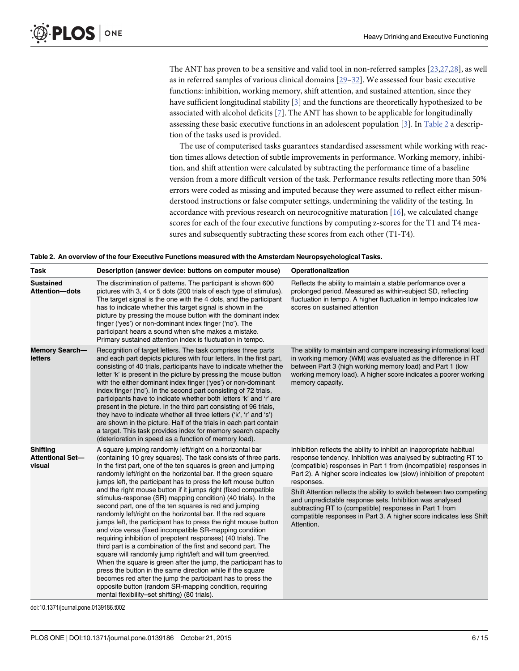<span id="page-5-0"></span>The ANT has proven to be a sensitive and valid tool in non-referred samples [[23](#page-13-0),[27](#page-13-0)[,28\]](#page-14-0), as well as in referred samples of various clinical domains [\[29](#page-14-0)–[32](#page-14-0)]. We assessed four basic executive functions: inhibition, working memory, shift attention, and sustained attention, since they have sufficient longitudinal stability [\[3](#page-12-0)] and the functions are theoretically hypothesized to be associated with alcohol deficits  $[7]$  $[7]$ . The ANT has shown to be applicable for longitudinally assessing these basic executive functions in an adolescent population [[3](#page-12-0)]. In Table 2 a description of the tasks used is provided.

The use of computerised tasks guarantees standardised assessment while working with reaction times allows detection of subtle improvements in performance. Working memory, inhibition, and shift attention were calculated by subtracting the performance time of a baseline version from a more difficult version of the task. Performance results reflecting more than 50% errors were coded as missing and imputed because they were assumed to reflect either misunderstood instructions or false computer settings, undermining the validity of the testing. In accordance with previous research on neurocognitive maturation [\[16](#page-13-0)], we calculated change scores for each of the four executive functions by computing z-scores for the T1 and T4 measures and subsequently subtracting these scores from each other (T1-T4).

| Table 2. An overview of the four Executive Functions measured with the Amsterdam Neuropsychological Tasks. |  |
|------------------------------------------------------------------------------------------------------------|--|
|------------------------------------------------------------------------------------------------------------|--|

| <b>Task</b>                                          | Description (answer device: buttons on computer mouse)                                                                                                                                                                                                                                                                                                                                                                                                                                                                                                                                                                                                                                                                                                                                                                                                                                                                                                                                                                                                                                                                                                                                                                                      | Operationalization                                                                                                                                                                                                                                                                                                                                                                                                                                                                                                                                                                     |
|------------------------------------------------------|---------------------------------------------------------------------------------------------------------------------------------------------------------------------------------------------------------------------------------------------------------------------------------------------------------------------------------------------------------------------------------------------------------------------------------------------------------------------------------------------------------------------------------------------------------------------------------------------------------------------------------------------------------------------------------------------------------------------------------------------------------------------------------------------------------------------------------------------------------------------------------------------------------------------------------------------------------------------------------------------------------------------------------------------------------------------------------------------------------------------------------------------------------------------------------------------------------------------------------------------|----------------------------------------------------------------------------------------------------------------------------------------------------------------------------------------------------------------------------------------------------------------------------------------------------------------------------------------------------------------------------------------------------------------------------------------------------------------------------------------------------------------------------------------------------------------------------------------|
| <b>Sustained</b><br><b>Attention-dots</b>            | The discrimination of patterns. The participant is shown 600<br>pictures with 3, 4 or 5 dots (200 trials of each type of stimulus).<br>The target signal is the one with the 4 dots, and the participant<br>has to indicate whether this target signal is shown in the<br>picture by pressing the mouse button with the dominant index<br>finger ('yes') or non-dominant index finger ('no'). The<br>participant hears a sound when s/he makes a mistake.<br>Primary sustained attention index is fluctuation in tempo.                                                                                                                                                                                                                                                                                                                                                                                                                                                                                                                                                                                                                                                                                                                     | Reflects the ability to maintain a stable performance over a<br>prolonged period. Measured as within-subject SD, reflecting<br>fluctuation in tempo. A higher fluctuation in tempo indicates low<br>scores on sustained attention                                                                                                                                                                                                                                                                                                                                                      |
| <b>Memory Search---</b><br><b>letters</b>            | Recognition of target letters. The task comprises three parts<br>and each part depicts pictures with four letters. In the first part,<br>consisting of 40 trials, participants have to indicate whether the<br>letter 'k' is present in the picture by pressing the mouse button<br>with the either dominant index finger ('yes') or non-dominant<br>index finger ('no'). In the second part consisting of 72 trials,<br>participants have to indicate whether both letters 'k' and 'r' are<br>present in the picture. In the third part consisting of 96 trials,<br>they have to indicate whether all three letters ('k', 'r' and 's')<br>are shown in the picture. Half of the trials in each part contain<br>a target. This task provides index for memory search capacity<br>(deterioration in speed as a function of memory load).                                                                                                                                                                                                                                                                                                                                                                                                     | The ability to maintain and compare increasing informational load<br>in working memory (WM) was evaluated as the difference in RT<br>between Part 3 (high working memory load) and Part 1 (low<br>working memory load). A higher score indicates a poorer working<br>memory capacity.                                                                                                                                                                                                                                                                                                  |
| <b>Shifting</b><br><b>Attentional Set-</b><br>visual | A square jumping randomly left/right on a horizontal bar<br>(containing 10 grey squares). The task consists of three parts.<br>In the first part, one of the ten squares is green and jumping<br>randomly left/right on the horizontal bar. If the green square<br>jumps left, the participant has to press the left mouse button<br>and the right mouse button if it jumps right (fixed compatible<br>stimulus-response (SR) mapping condition) (40 trials). In the<br>second part, one of the ten squares is red and jumping<br>randomly left/right on the horizontal bar. If the red square<br>jumps left, the participant has to press the right mouse button<br>and vice versa (fixed incompatible SR-mapping condition<br>requiring inhibition of prepotent responses) (40 trials). The<br>third part is a combination of the first and second part. The<br>square will randomly jump right/left and will turn green/red.<br>When the square is green after the jump, the participant has to<br>press the button in the same direction while if the square<br>becomes red after the jump the participant has to press the<br>opposite button (random SR-mapping condition, requiring<br>mental flexibility-set shifting) (80 trials). | Inhibition reflects the ability to inhibit an inappropriate habitual<br>response tendency. Inhibition was analysed by subtracting RT to<br>(compatible) responses in Part 1 from (incompatible) responses in<br>Part 2). A higher score indicates low (slow) inhibition of prepotent<br>responses.<br>Shift Attention reflects the ability to switch between two competing<br>and unpredictable response sets. Inhibition was analysed<br>subtracting RT to (compatible) responses in Part 1 from<br>compatible responses in Part 3. A higher score indicates less Shift<br>Attention. |

doi:10.1371/journal.pone.0139186.t002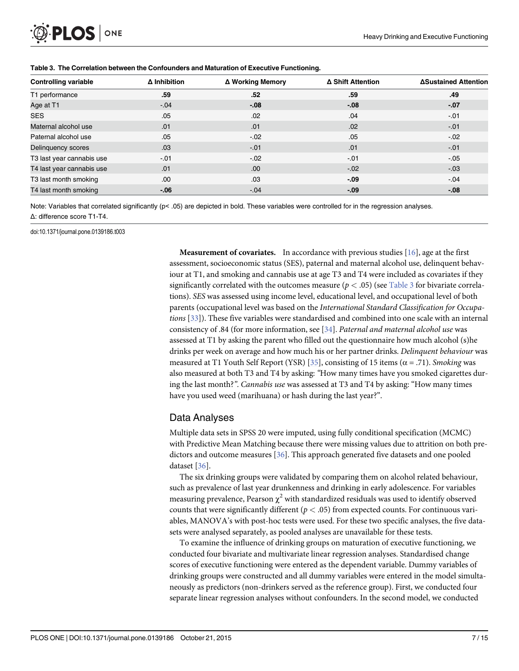<span id="page-6-0"></span>

| <b>Controlling variable</b> | $\Delta$ Inhibition | Δ Working Memory | ∆ Shift Attention | <b>ASustained Attention</b> |
|-----------------------------|---------------------|------------------|-------------------|-----------------------------|
| T1 performance              | .59                 | .52              | .59               | .49                         |
| Age at T1                   | $-.04$              | $-08$            | $-0.08$           | $-.07$                      |
| <b>SES</b>                  | .05                 | .02              | .04               | $-01$                       |
| Maternal alcohol use        | .01                 | .01              | .02               | $-.01$                      |
| Paternal alcohol use        | .05                 | $-.02$           | .05               | $-.02$                      |
| Delinquency scores          | .03                 | $-.01$           | .01               | $-.01$                      |
| T3 last year cannabis use   | $-.01$              | $-.02$           | $-.01$            | $-.05$                      |
| T4 last year cannabis use   | .01                 | .00.             | $-.02$            | $-.03$                      |
| T3 last month smoking       | .00                 | .03              | $-0.9$            | $-.04$                      |
| T4 last month smoking       | $-06$               | $-.04$           | $-0.09$           | $-0.08$                     |

Table 3. The Correlation between the Confounders and Maturation of Executive Functioning.

Note: Variables that correlated significantly (p< .05) are depicted in bold. These variables were controlled for in the regression analyses. Δ: difference score T1-T4.

doi:10.1371/journal.pone.0139186.t003

**Measurement of covariates.** In accordance with previous studies  $[16]$  $[16]$  $[16]$ , age at the first assessment, socioeconomic status (SES), paternal and maternal alcohol use, delinquent behaviour at T1, and smoking and cannabis use at age T3 and T4 were included as covariates if they significantly correlated with the outcomes measure ( $p < .05$ ) (see Table 3 for bivariate correlations). SES was assessed using income level, educational level, and occupational level of both parents (occupational level was based on the International Standard Classification for Occupations [[33](#page-14-0)]). These five variables were standardised and combined into one scale with an internal consistency of .84 (for more information, see [[34](#page-14-0)]. Paternal and maternal alcohol use was assessed at T1 by asking the parent who filled out the questionnaire how much alcohol (s)he drinks per week on average and how much his or her partner drinks. Delinquent behaviour was measured at T1 Youth Self Report (YSR) [\[35\]](#page-14-0), consisting of 15 items ( $\alpha$  = .71). Smoking was also measured at both T3 and T4 by asking: "How many times have you smoked cigarettes during the last month?". Cannabis use was assessed at T3 and T4 by asking: "How many times have you used weed (marihuana) or hash during the last year?".

#### Data Analyses

Multiple data sets in SPSS 20 were imputed, using fully conditional specification (MCMC) with Predictive Mean Matching because there were missing values due to attrition on both predictors and outcome measures [\[36\]](#page-14-0). This approach generated five datasets and one pooled dataset [\[36](#page-14-0)].

The six drinking groups were validated by comparing them on alcohol related behaviour, such as prevalence of last year drunkenness and drinking in early adolescence. For variables measuring prevalence, Pearson  $\chi^2$  with standardized residuals was used to identify observed counts that were significantly different ( $p < .05$ ) from expected counts. For continuous variables, MANOVA's with post-hoc tests were used. For these two specific analyses, the five datasets were analysed separately, as pooled analyses are unavailable for these tests.

To examine the influence of drinking groups on maturation of executive functioning, we conducted four bivariate and multivariate linear regression analyses. Standardised change scores of executive functioning were entered as the dependent variable. Dummy variables of drinking groups were constructed and all dummy variables were entered in the model simultaneously as predictors (non-drinkers served as the reference group). First, we conducted four separate linear regression analyses without confounders. In the second model, we conducted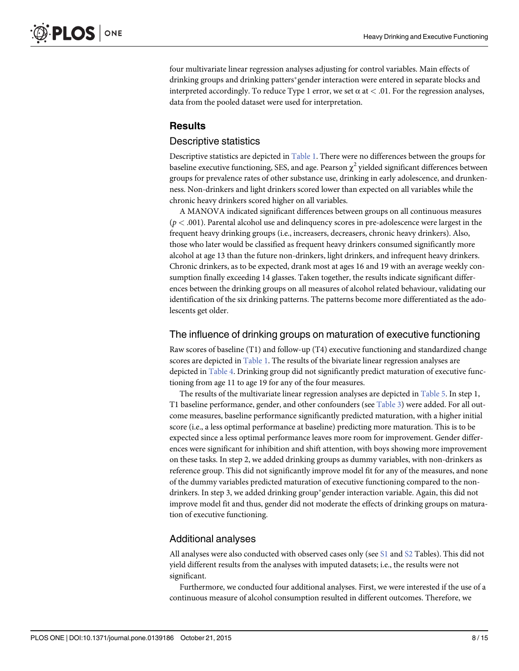<span id="page-7-0"></span>four multivariate linear regression analyses adjusting for control variables. Main effects of drinking groups and drinking patters<sup>\*</sup>gender interaction were entered in separate blocks and interpreted accordingly. To reduce Type 1 error, we set  $\alpha$  at  $< .01$ . For the regression analyses, data from the pooled dataset were used for interpretation.

# **Results**

#### Descriptive statistics

Descriptive statistics are depicted in [Table 1](#page-4-0). There were no differences between the groups for baseline executive functioning, SES, and age. Pearson  $\chi^2$  yielded significant differences between groups for prevalence rates of other substance use, drinking in early adolescence, and drunkenness. Non-drinkers and light drinkers scored lower than expected on all variables while the chronic heavy drinkers scored higher on all variables.

A MANOVA indicated significant differences between groups on all continuous measures  $(p < .001)$ . Parental alcohol use and delinquency scores in pre-adolescence were largest in the frequent heavy drinking groups (i.e., increasers, decreasers, chronic heavy drinkers). Also, those who later would be classified as frequent heavy drinkers consumed significantly more alcohol at age 13 than the future non-drinkers, light drinkers, and infrequent heavy drinkers. Chronic drinkers, as to be expected, drank most at ages 16 and 19 with an average weekly consumption finally exceeding 14 glasses. Taken together, the results indicate significant differences between the drinking groups on all measures of alcohol related behaviour, validating our identification of the six drinking patterns. The patterns become more differentiated as the adolescents get older.

#### The influence of drinking groups on maturation of executive functioning

Raw scores of baseline (T1) and follow-up (T4) executive functioning and standardized change scores are depicted in [Table 1](#page-4-0). The results of the bivariate linear regression analyses are depicted in [Table 4](#page-8-0). Drinking group did not significantly predict maturation of executive functioning from age 11 to age 19 for any of the four measures.

The results of the multivariate linear regression analyses are depicted in [Table 5.](#page-9-0) In step 1, T1 baseline performance, gender, and other confounders (see [Table 3\)](#page-6-0) were added. For all outcome measures, baseline performance significantly predicted maturation, with a higher initial score (i.e., a less optimal performance at baseline) predicting more maturation. This is to be expected since a less optimal performance leaves more room for improvement. Gender differences were significant for inhibition and shift attention, with boys showing more improvement on these tasks. In step 2, we added drinking groups as dummy variables, with non-drinkers as reference group. This did not significantly improve model fit for any of the measures, and none of the dummy variables predicted maturation of executive functioning compared to the nondrinkers. In step 3, we added drinking group\*gender interaction variable. Again, this did not improve model fit and thus, gender did not moderate the effects of drinking groups on maturation of executive functioning.

#### Additional analyses

All analyses were also conducted with observed cases only (see  $S1$  and  $S2$  Tables). This did not yield different results from the analyses with imputed datasets; i.e., the results were not significant.

Furthermore, we conducted four additional analyses. First, we were interested if the use of a continuous measure of alcohol consumption resulted in different outcomes. Therefore, we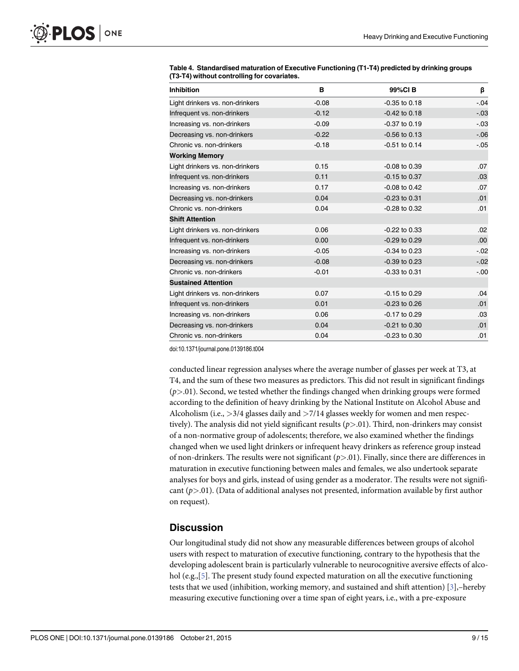| <b>Inhibition</b>               | в       | 99%CIB            | β       |
|---------------------------------|---------|-------------------|---------|
| Light drinkers vs. non-drinkers | $-0.08$ | $-0.35$ to 0.18   | $-.04$  |
| Infrequent vs. non-drinkers     | $-0.12$ | $-0.42$ to $0.18$ | $-0.03$ |
| Increasing vs. non-drinkers     | $-0.09$ | $-0.37$ to $0.19$ | $-.03$  |
| Decreasing vs. non-drinkers     | $-0.22$ | $-0.56$ to 0.13   | $-06$   |
| Chronic vs. non-drinkers        | $-0.18$ | $-0.51$ to 0.14   | $-.05$  |
| <b>Working Memory</b>           |         |                   |         |
| Light drinkers vs. non-drinkers | 0.15    | $-0.08$ to 0.39   | .07     |
| Infrequent vs. non-drinkers     | 0.11    | $-0.15$ to 0.37   | .03     |
| Increasing vs. non-drinkers     | 0.17    | $-0.08$ to $0.42$ | .07     |
| Decreasing vs. non-drinkers     | 0.04    | $-0.23$ to $0.31$ | .01     |
| Chronic vs. non-drinkers        | 0.04    | $-0.28$ to 0.32   | .01     |
| <b>Shift Attention</b>          |         |                   |         |
| Light drinkers vs. non-drinkers | 0.06    | $-0.22$ to $0.33$ | .02     |
| Infrequent vs. non-drinkers     | 0.00    | $-0.29$ to $0.29$ | .00     |
| Increasing vs. non-drinkers     | $-0.05$ | $-0.34$ to 0.23   | $-.02$  |
| Decreasing vs. non-drinkers     | $-0.08$ | $-0.39$ to 0.23   | $-.02$  |
| Chronic vs. non-drinkers        | $-0.01$ | $-0.33$ to $0.31$ | $-0.00$ |
| <b>Sustained Attention</b>      |         |                   |         |
| Light drinkers vs. non-drinkers | 0.07    | $-0.15$ to 0.29   | .04     |
| Infrequent vs. non-drinkers     | 0.01    | $-0.23$ to 0.26   | .01     |
| Increasing vs. non-drinkers     | 0.06    | $-0.17$ to 0.29   | .03     |
| Decreasing vs. non-drinkers     | 0.04    | $-0.21$ to $0.30$ | .01     |
| Chronic vs. non-drinkers        | 0.04    | $-0.23$ to $0.30$ | .01     |

<span id="page-8-0"></span>[Table 4.](#page-7-0) Standardised maturation of Executive Functioning (T1-T4) predicted by drinking groups (T3-T4) without controlling for covariates.

doi:10.1371/journal.pone.0139186.t004

conducted linear regression analyses where the average number of glasses per week at T3, at T4, and the sum of these two measures as predictors. This did not result in significant findings  $(p>0.01)$ . Second, we tested whether the findings changed when drinking groups were formed according to the definition of heavy drinking by the National Institute on Alcohol Abuse and Alcoholism (i.e.,  $>3/4$  glasses daily and  $>7/14$  glasses weekly for women and men respectively). The analysis did not yield significant results  $(p>0.01)$ . Third, non-drinkers may consist of a non-normative group of adolescents; therefore, we also examined whether the findings changed when we used light drinkers or infrequent heavy drinkers as reference group instead of non-drinkers. The results were not significant  $(p>0.01)$ . Finally, since there are differences in maturation in executive functioning between males and females, we also undertook separate analyses for boys and girls, instead of using gender as a moderator. The results were not significant  $(p>0.01)$ . (Data of additional analyses not presented, information available by first author on request).

#### **Discussion**

Our longitudinal study did not show any measurable differences between groups of alcohol users with respect to maturation of executive functioning, contrary to the hypothesis that the developing adolescent brain is particularly vulnerable to neurocognitive aversive effects of alcohol (e.g.,  $[5]$  $[5]$ ). The present study found expected maturation on all the executive functioning tests that we used (inhibition, working memory, and sustained and shift attention) [[3\]](#page-12-0),–hereby measuring executive functioning over a time span of eight years, i.e., with a pre-exposure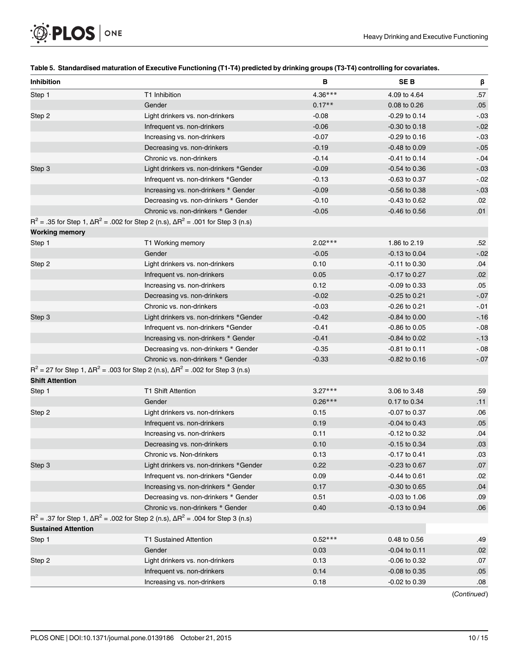<span id="page-9-0"></span>

#### [Table 5.](#page-7-0) Standardised maturation of Executive Functioning (T1-T4) predicted by drinking groups (T3-T4) controlling for covariates.

| <b>Inhibition</b>                                                                                       |                                         | в         | SE B              | β       |
|---------------------------------------------------------------------------------------------------------|-----------------------------------------|-----------|-------------------|---------|
| Step 1                                                                                                  | T1 Inhibition                           | $4.36***$ | 4.09 to 4.64      | .57     |
|                                                                                                         | Gender                                  | $0.17**$  | 0.08 to 0.26      | .05     |
| Step 2                                                                                                  | Light drinkers vs. non-drinkers         | $-0.08$   | $-0.29$ to $0.14$ | $-03$   |
|                                                                                                         | Infrequent vs. non-drinkers             | $-0.06$   | $-0.30$ to $0.18$ | $-.02$  |
|                                                                                                         | Increasing vs. non-drinkers             | $-0.07$   | $-0.29$ to $0.16$ | $-03$   |
|                                                                                                         | Decreasing vs. non-drinkers             | $-0.19$   | $-0.48$ to $0.09$ | $-0.05$ |
|                                                                                                         | Chronic vs. non-drinkers                | $-0.14$   | $-0.41$ to 0.14   | $-.04$  |
| Step 3                                                                                                  | Light drinkers vs. non-drinkers *Gender | $-0.09$   | $-0.54$ to 0.36   | $-03$   |
|                                                                                                         | Infrequent vs. non-drinkers *Gender     | $-0.13$   | $-0.63$ to $0.37$ | $-02$   |
|                                                                                                         | Increasing vs. non-drinkers * Gender    | $-0.09$   | $-0.56$ to 0.38   | $-03$   |
|                                                                                                         | Decreasing vs. non-drinkers * Gender    | $-0.10$   | $-0.43$ to $0.62$ | .02     |
|                                                                                                         | Chronic vs. non-drinkers * Gender       | $-0.05$   | $-0.46$ to 0.56   | .01     |
| $R^2$ = .35 for Step 1, $\Delta R^2$ = .002 for Step 2 (n.s), $\Delta R^2$ = .001 for Step 3 (n.s)      |                                         |           |                   |         |
| <b>Working memory</b>                                                                                   |                                         |           |                   |         |
| Step 1                                                                                                  | T1 Working memory                       | $2.02***$ | 1.86 to 2.19      | .52     |
|                                                                                                         | Gender                                  | $-0.05$   | $-0.13$ to 0.04   | $-.02$  |
| Step 2                                                                                                  | Light drinkers vs. non-drinkers         | 0.10      | $-0.11$ to $0.30$ | .04     |
|                                                                                                         | Infrequent vs. non-drinkers             | 0.05      | $-0.17$ to 0.27   | .02     |
|                                                                                                         | Increasing vs. non-drinkers             | 0.12      | $-0.09$ to 0.33   | .05     |
|                                                                                                         | Decreasing vs. non-drinkers             | $-0.02$   | $-0.25$ to 0.21   | $-.07$  |
|                                                                                                         | Chronic vs. non-drinkers                | $-0.03$   | $-0.26$ to 0.21   | $-01$   |
| Step 3                                                                                                  | Light drinkers vs. non-drinkers *Gender | $-0.42$   | $-0.84$ to $0.00$ | $-16$   |
|                                                                                                         | Infrequent vs. non-drinkers *Gender     | $-0.41$   | $-0.86$ to 0.05   | $-08$   |
|                                                                                                         | Increasing vs. non-drinkers * Gender    | $-0.41$   | $-0.84$ to 0.02   | $-13$   |
|                                                                                                         | Decreasing vs. non-drinkers * Gender    | $-0.35$   | $-0.81$ to $0.11$ | $-08$   |
|                                                                                                         | Chronic vs. non-drinkers * Gender       | $-0.33$   | $-0.82$ to $0.16$ | $-.07$  |
| $R^2$ = 27 for Step 1, ΔR <sup>2</sup> = .003 for Step 2 (n.s), ΔR <sup>2</sup> = .002 for Step 3 (n.s) |                                         |           |                   |         |
| <b>Shift Attention</b>                                                                                  |                                         |           |                   |         |
| Step 1                                                                                                  | <b>T1 Shift Attention</b>               | $3.27***$ | 3.06 to 3.48      | .59     |
|                                                                                                         | Gender                                  | $0.26***$ | 0.17 to 0.34      | .11     |
| Step 2                                                                                                  | Light drinkers vs. non-drinkers         | 0.15      | -0.07 to 0.37     | .06     |
|                                                                                                         | Infrequent vs. non-drinkers             | 0.19      | $-0.04$ to 0.43   | .05     |
|                                                                                                         | Increasing vs. non-drinkers             | 0.11      | $-0.12$ to $0.32$ | .04     |
|                                                                                                         | Decreasing vs. non-drinkers             | 0.10      | $-0.15$ to 0.34   | .03     |
|                                                                                                         | Chronic vs. Non-drinkers                | 0.13      | -0.17 to 0.41     | .03     |
| Step 3                                                                                                  | Light drinkers vs. non-drinkers *Gender | 0.22      | $-0.23$ to $0.67$ | .07     |
|                                                                                                         | Infrequent vs. non-drinkers *Gender     | 0.09      | $-0.44$ to 0.61   | .02     |
|                                                                                                         | Increasing vs. non-drinkers * Gender    | 0.17      | $-0.30$ to $0.65$ | .04     |
|                                                                                                         | Decreasing vs. non-drinkers * Gender    | 0.51      | $-0.03$ to 1.06   | .09     |
|                                                                                                         | Chronic vs. non-drinkers * Gender       | 0.40      | $-0.13$ to $0.94$ | .06     |
| $R^2$ = .37 for Step 1, $\Delta R^2$ = .002 for Step 2 (n.s), $\Delta R^2$ = .004 for Step 3 (n.s)      |                                         |           |                   |         |
| <b>Sustained Attention</b>                                                                              |                                         |           |                   |         |
| Step 1                                                                                                  | <b>T1 Sustained Attention</b>           | $0.52***$ | 0.48 to 0.56      | .49     |
|                                                                                                         | Gender                                  | 0.03      | $-0.04$ to 0.11   | .02     |
| Step 2                                                                                                  | Light drinkers vs. non-drinkers         | 0.13      | $-0.06$ to 0.32   | .07     |
|                                                                                                         | Infrequent vs. non-drinkers             | 0.14      | $-0.08$ to $0.35$ | .05     |
|                                                                                                         | Increasing vs. non-drinkers             | 0.18      | $-0.02$ to $0.39$ | .08     |

(Continued)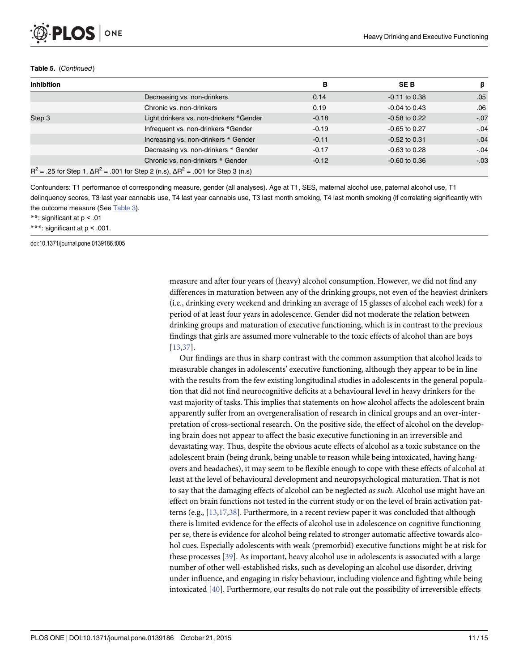#### <span id="page-10-0"></span>Table 5. (Continued)

| <b>Inhibition</b> |                                                                                                    | в       | <b>SEB</b>        | β      |
|-------------------|----------------------------------------------------------------------------------------------------|---------|-------------------|--------|
|                   | Decreasing vs. non-drinkers                                                                        | 0.14    | $-0.11$ to 0.38   | .05    |
|                   | Chronic vs. non-drinkers                                                                           | 0.19    | $-0.04$ to 0.43   | .06    |
| Step 3            | Light drinkers vs. non-drinkers *Gender                                                            | $-0.18$ | $-0.58$ to 0.22   | $-.07$ |
|                   | Infrequent vs. non-drinkers *Gender                                                                | $-0.19$ | $-0.65$ to 0.27   | $-.04$ |
|                   | Increasing vs. non-drinkers * Gender                                                               | $-0.11$ | $-0.52$ to 0.31   | $-.04$ |
|                   | Decreasing vs. non-drinkers * Gender                                                               | $-0.17$ | $-0.63$ to 0.28   | $-.04$ |
|                   | Chronic vs. non-drinkers * Gender                                                                  | $-0.12$ | $-0.60$ to $0.36$ | $-03$  |
|                   | $R^2$ = .25 for Step 1, $\Delta R^2$ = .001 for Step 2 (n.s), $\Delta R^2$ = .001 for Step 3 (n.s) |         |                   |        |

Confounders: T1 performance of corresponding measure, gender (all analyses). Age at T1, SES, maternal alcohol use, paternal alcohol use, T1 delinquency scores, T3 last year cannabis use, T4 last year cannabis use, T3 last month smoking, T4 last month smoking (if correlating significantly with the outcome measure (See [Table 3](#page-6-0)).

\*\*: significant at p < .01

\*\*\*: significant at p < .001.

doi:10.1371/journal.pone.0139186.t005

measure and after four years of (heavy) alcohol consumption. However, we did not find any differences in maturation between any of the drinking groups, not even of the heaviest drinkers (i.e., drinking every weekend and drinking an average of 15 glasses of alcohol each week) for a period of at least four years in adolescence. Gender did not moderate the relation between drinking groups and maturation of executive functioning, which is in contrast to the previous findings that girls are assumed more vulnerable to the toxic effects of alcohol than are boys [\[13](#page-13-0)[,37\]](#page-14-0).

Our findings are thus in sharp contrast with the common assumption that alcohol leads to measurable changes in adolescents' executive functioning, although they appear to be in line with the results from the few existing longitudinal studies in adolescents in the general population that did not find neurocognitive deficits at a behavioural level in heavy drinkers for the vast majority of tasks. This implies that statements on how alcohol affects the adolescent brain apparently suffer from an overgeneralisation of research in clinical groups and an over-interpretation of cross-sectional research. On the positive side, the effect of alcohol on the developing brain does not appear to affect the basic executive functioning in an irreversible and devastating way. Thus, despite the obvious acute effects of alcohol as a toxic substance on the adolescent brain (being drunk, being unable to reason while being intoxicated, having hangovers and headaches), it may seem to be flexible enough to cope with these effects of alcohol at least at the level of behavioural development and neuropsychological maturation. That is not to say that the damaging effects of alcohol can be neglected *as such*. Alcohol use might have an effect on brain functions not tested in the current study or on the level of brain activation patterns (e.g., [[13,17,](#page-13-0)[38\]](#page-14-0). Furthermore, in a recent review paper it was concluded that although there is limited evidence for the effects of alcohol use in adolescence on cognitive functioning per se, there is evidence for alcohol being related to stronger automatic affective towards alcohol cues. Especially adolescents with weak (premorbid) executive functions might be at risk for these processes [\[39](#page-14-0)]. As important, heavy alcohol use in adolescents is associated with a large number of other well-established risks, such as developing an alcohol use disorder, driving under influence, and engaging in risky behaviour, including violence and fighting while being intoxicated [[40\]](#page-14-0). Furthermore, our results do not rule out the possibility of irreversible effects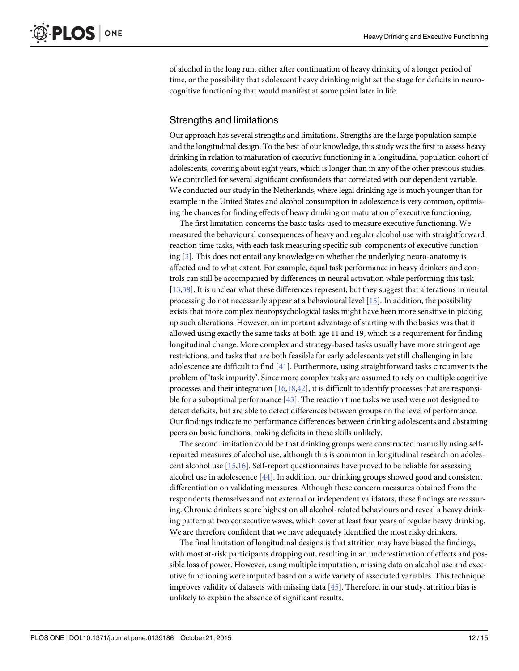<span id="page-11-0"></span>of alcohol in the long run, either after continuation of heavy drinking of a longer period of time, or the possibility that adolescent heavy drinking might set the stage for deficits in neurocognitive functioning that would manifest at some point later in life.

#### Strengths and limitations

Our approach has several strengths and limitations. Strengths are the large population sample and the longitudinal design. To the best of our knowledge, this study was the first to assess heavy drinking in relation to maturation of executive functioning in a longitudinal population cohort of adolescents, covering about eight years, which is longer than in any of the other previous studies. We controlled for several significant confounders that correlated with our dependent variable. We conducted our study in the Netherlands, where legal drinking age is much younger than for example in the United States and alcohol consumption in adolescence is very common, optimising the chances for finding effects of heavy drinking on maturation of executive functioning.

The first limitation concerns the basic tasks used to measure executive functioning. We measured the behavioural consequences of heavy and regular alcohol use with straightforward reaction time tasks, with each task measuring specific sub-components of executive functioning  $[3]$  $[3]$ . This does not entail any knowledge on whether the underlying neuro-anatomy is affected and to what extent. For example, equal task performance in heavy drinkers and controls can still be accompanied by differences in neural activation while performing this task [\[13](#page-13-0)[,38\]](#page-14-0). It is unclear what these differences represent, but they suggest that alterations in neural processing do not necessarily appear at a behavioural level  $[15]$  $[15]$  $[15]$ . In addition, the possibility exists that more complex neuropsychological tasks might have been more sensitive in picking up such alterations. However, an important advantage of starting with the basics was that it allowed using exactly the same tasks at both age 11 and 19, which is a requirement for finding longitudinal change. More complex and strategy-based tasks usually have more stringent age restrictions, and tasks that are both feasible for early adolescents yet still challenging in late adolescence are difficult to find [\[41\]](#page-14-0). Furthermore, using straightforward tasks circumvents the problem of 'task impurity'. Since more complex tasks are assumed to rely on multiple cognitive processes and their integration  $[16,18,42]$  $[16,18,42]$  $[16,18,42]$ , it is difficult to identify processes that are responsible for a suboptimal performance  $[43]$  $[43]$  $[43]$ . The reaction time tasks we used were not designed to detect deficits, but are able to detect differences between groups on the level of performance. Our findings indicate no performance differences between drinking adolescents and abstaining peers on basic functions, making deficits in these skills unlikely.

The second limitation could be that drinking groups were constructed manually using selfreported measures of alcohol use, although this is common in longitudinal research on adolescent alcohol use  $[15,16]$  $[15,16]$  $[15,16]$  $[15,16]$  $[15,16]$ . Self-report questionnaires have proved to be reliable for assessing alcohol use in adolescence [\[44\]](#page-14-0). In addition, our drinking groups showed good and consistent differentiation on validating measures. Although these concern measures obtained from the respondents themselves and not external or independent validators, these findings are reassuring. Chronic drinkers score highest on all alcohol-related behaviours and reveal a heavy drinking pattern at two consecutive waves, which cover at least four years of regular heavy drinking. We are therefore confident that we have adequately identified the most risky drinkers.

The final limitation of longitudinal designs is that attrition may have biased the findings, with most at-risk participants dropping out, resulting in an underestimation of effects and possible loss of power. However, using multiple imputation, missing data on alcohol use and executive functioning were imputed based on a wide variety of associated variables. This technique improves validity of datasets with missing data  $[45]$ . Therefore, in our study, attrition bias is unlikely to explain the absence of significant results.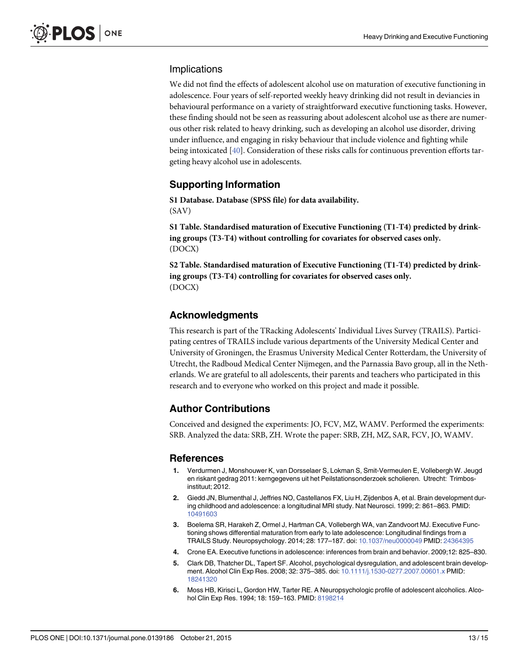## <span id="page-12-0"></span>Implications

We did not find the effects of adolescent alcohol use on maturation of executive functioning in adolescence. Four years of self-reported weekly heavy drinking did not result in deviancies in behavioural performance on a variety of straightforward executive functioning tasks. However, these finding should not be seen as reassuring about adolescent alcohol use as there are numerous other risk related to heavy drinking, such as developing an alcohol use disorder, driving under influence, and engaging in risky behaviour that include violence and fighting while being intoxicated [[40\]](#page-14-0). Consideration of these risks calls for continuous prevention efforts targeting heavy alcohol use in adolescents.

## Supporting Information

[S1 Database](http://www.plosone.org/article/fetchSingleRepresentation.action?uri=info:doi/10.1371/journal.pone.0139186.s001). Database (SPSS file) for data availability. (SAV)

[S1 Table](http://www.plosone.org/article/fetchSingleRepresentation.action?uri=info:doi/10.1371/journal.pone.0139186.s002). Standardised maturation of Executive Functioning (T1-T4) predicted by drinking groups (T3-T4) without controlling for covariates for observed cases only. (DOCX)

[S2 Table](http://www.plosone.org/article/fetchSingleRepresentation.action?uri=info:doi/10.1371/journal.pone.0139186.s003). Standardised maturation of Executive Functioning (T1-T4) predicted by drinking groups (T3-T4) controlling for covariates for observed cases only. (DOCX)

#### Acknowledgments

This research is part of the TRacking Adolescents' Individual Lives Survey (TRAILS). Participating centres of TRAILS include various departments of the University Medical Center and University of Groningen, the Erasmus University Medical Center Rotterdam, the University of Utrecht, the Radboud Medical Center Nijmegen, and the Parnassia Bavo group, all in the Netherlands. We are grateful to all adolescents, their parents and teachers who participated in this research and to everyone who worked on this project and made it possible.

#### Author Contributions

Conceived and designed the experiments: JO, FCV, MZ, WAMV. Performed the experiments: SRB. Analyzed the data: SRB, ZH. Wrote the paper: SRB, ZH, MZ, SAR, FCV, JO, WAMV.

#### References

- [1.](#page-1-0) Verdurmen J, Monshouwer K, van Dorsselaer S, Lokman S, Smit-Vermeulen E, Vollebergh W. Jeugd en riskant gedrag 2011: kerngegevens uit het Peilstationsonderzoek scholieren. Utrecht: Trimbosinstituut; 2012.
- [2.](#page-1-0) Giedd JN, Blumenthal J, Jeffries NO, Castellanos FX, Liu H, Zijdenbos A, et al. Brain development during childhood and adolescence: a longitudinal MRI study. Nat Neurosci. 1999; 2: 861–863. PMID: [10491603](http://www.ncbi.nlm.nih.gov/pubmed/10491603)
- [3.](#page-1-0) Boelema SR, Harakeh Z, Ormel J, Hartman CA, Vollebergh WA, van Zandvoort MJ. Executive Functioning shows differential maturation from early to late adolescence: Longitudinal findings from a TRAILS Study. Neuropsychology. 2014; 28: 177–187. doi: [10.1037/neu0000049](http://dx.doi.org/10.1037/neu0000049) PMID: [24364395](http://www.ncbi.nlm.nih.gov/pubmed/24364395)
- [4.](#page-1-0) Crone EA. Executive functions in adolescence: inferences from brain and behavior. 2009;12: 825–830.
- [5.](#page-1-0) Clark DB, Thatcher DL, Tapert SF. Alcohol, psychological dysregulation, and adolescent brain develop-ment. Alcohol Clin Exp Res. 2008; 32: 375-385. doi: [10.1111/j.1530-0277.2007.00601.x](http://dx.doi.org/10.1111/j.1530-0277.2007.00601.x) PMID: [18241320](http://www.ncbi.nlm.nih.gov/pubmed/18241320)
- [6.](#page-1-0) Moss HB, Kirisci L, Gordon HW, Tarter RE. A Neuropsychologic profile of adolescent alcoholics. Alco-hol Clin Exp Res. 1994; 18: 159-163. PMID: [8198214](http://www.ncbi.nlm.nih.gov/pubmed/8198214)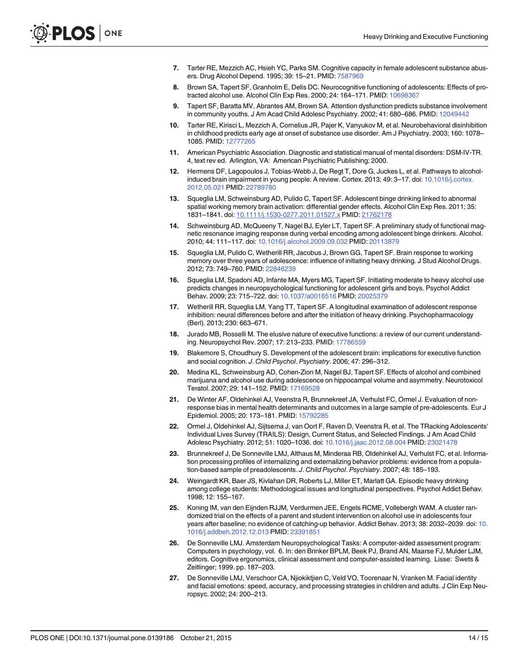- <span id="page-13-0"></span>[7.](#page-1-0) Tarter RE, Mezzich AC, Hsieh YC, Parks SM. Cognitive capacity in female adolescent substance abusers. Drug Alcohol Depend. 1995; 39: 15–21. PMID: [7587969](http://www.ncbi.nlm.nih.gov/pubmed/7587969)
- [8.](#page-1-0) Brown SA, Tapert SF, Granholm E, Delis DC. Neurocognitive functioning of adolescents: Effects of protracted alcohol use. Alcohol Clin Exp Res. 2000; 24: 164–171. PMID: [10698367](http://www.ncbi.nlm.nih.gov/pubmed/10698367)
- [9.](#page-1-0) Tapert SF, Baratta MV, Abrantes AM, Brown SA. Attention dysfunction predicts substance involvement in community youths. J Am Acad Child Adolesc Psychiatry. 2002; 41: 680–686. PMID: [12049442](http://www.ncbi.nlm.nih.gov/pubmed/12049442)
- [10.](#page-1-0) Tarter RE, Kirisci L, Mezzich A, Cornelius JR, Pajer K, Vanyukov M, et al. Neurobehavioral disinhibition in childhood predicts early age at onset of substance use disorder. Am J Psychiatry. 2003; 160: 1078– 1085. PMID: [12777265](http://www.ncbi.nlm.nih.gov/pubmed/12777265)
- [11.](#page-1-0) American Psychiatric Association. Diagnostic and statistical manual of mental disorders: DSM-IV-TR. 4, text rev ed. Arlington, VA: American Psychiatric Publishing; 2000.
- [12.](#page-1-0) Hermens DF, Lagopoulos J, Tobias-Webb J, De Regt T, Dore G, Juckes L, et al. Pathways to alcoholinduced brain impairment in young people: A review. Cortex. 2013; 49: 3–17. doi: [10.1016/j.cortex.](http://dx.doi.org/10.1016/j.cortex.2012.05.021) [2012.05.021](http://dx.doi.org/10.1016/j.cortex.2012.05.021) PMID: [22789780](http://www.ncbi.nlm.nih.gov/pubmed/22789780)
- [13.](#page-1-0) Squeglia LM, Schweinsburg AD, Pulido C, Tapert SF. Adolescent binge drinking linked to abnormal spatial working memory brain activation: differential gender effects. Alcohol Clin Exp Res. 2011; 35: 1831–1841. doi: [10.1111/j.1530-0277.2011.01527.x](http://dx.doi.org/10.1111/j.1530-0277.2011.01527.x) PMID: [21762178](http://www.ncbi.nlm.nih.gov/pubmed/21762178)
- [14.](#page-1-0) Schweinsburg AD, McQueeny T, Nagel BJ, Eyler LT, Tapert SF. A preliminary study of functional magnetic resonance imaging response during verbal encoding among adolescent binge drinkers. Alcohol. 2010; 44: 111–117. doi: [10.1016/j.alcohol.2009.09.032](http://dx.doi.org/10.1016/j.alcohol.2009.09.032) PMID: [20113879](http://www.ncbi.nlm.nih.gov/pubmed/20113879)
- [15.](#page-1-0) Squeglia LM, Pulido C, Wetherill RR, Jacobus J, Brown GG, Tapert SF. Brain response to working memory over three years of adolescence: influence of initiating heavy drinking. J Stud Alcohol Drugs. 2012; 73: 749–760. PMID: [22846239](http://www.ncbi.nlm.nih.gov/pubmed/22846239)
- [16.](#page-1-0) Squeglia LM, Spadoni AD, Infante MA, Myers MG, Tapert SF. Initiating moderate to heavy alcohol use predicts changes in neuropsychological functioning for adolescent girls and boys. Psychol Addict Behav. 2009; 23: 715–722. doi: [10.1037/a0016516](http://dx.doi.org/10.1037/a0016516) PMID: [20025379](http://www.ncbi.nlm.nih.gov/pubmed/20025379)
- [17.](#page-1-0) Wetherill RR, Squeglia LM, Yang TT, Tapert SF. A longitudinal examination of adolescent response inhibition: neural differences before and after the initiation of heavy drinking. Psychopharmacology (Berl). 2013; 230: 663–671.
- [18.](#page-2-0) Jurado MB, Rosselli M. The elusive nature of executive functions: a review of our current understanding. Neuropsychol Rev. 2007; 17: 213–233. PMID: [17786559](http://www.ncbi.nlm.nih.gov/pubmed/17786559)
- [19.](#page-2-0) Blakemore S, Choudhury S. Development of the adolescent brain: implications for executive function and social cognition. J. Child Psychol. Psychiatry. 2006; 47: 296–312.
- [20.](#page-2-0) Medina KL, Schweinsburg AD, Cohen-Zion M, Nagel BJ, Tapert SF. Effects of alcohol and combined marijuana and alcohol use during adolescence on hippocampal volume and asymmetry. Neurotoxicol Teratol. 2007; 29: 141–152. PMID: [17169528](http://www.ncbi.nlm.nih.gov/pubmed/17169528)
- [21.](#page-2-0) De Winter AF, Oldehinkel AJ, Veenstra R, Brunnekreef JA, Verhulst FC, Ormel J. Evaluation of nonresponse bias in mental health determinants and outcomes in a large sample of pre-adolescents. Eur J Epidemiol. 2005; 20: 173–181. PMID: [15792285](http://www.ncbi.nlm.nih.gov/pubmed/15792285)
- [22.](#page-2-0) Ormel J, Oldehinkel AJ, Sijtsema J, van Oort F, Raven D, Veenstra R, et al. The TRacking Adolescents' Individual Lives Survey (TRAILS): Design, Current Status, and Selected Findings. J Am Acad Child Adolesc Psychiatry. 2012; 51: 1020–1036. doi: [10.1016/j.jaac.2012.08.004](http://dx.doi.org/10.1016/j.jaac.2012.08.004) PMID: [23021478](http://www.ncbi.nlm.nih.gov/pubmed/23021478)
- [23.](#page-2-0) Brunnekreef J, De Sonneville LMJ, Althaus M, Minderaa RB, Oldehinkel AJ, Verhulst FC, et al. Information processing profiles of internalizing and externalizing behavior problems: evidence from a population-based sample of preadolescents. J. Child Psychol. Psychiatry. 2007; 48: 185–193.
- [24.](#page-3-0) Weingardt KR, Baer JS, Kivlahan DR, Roberts LJ, Miller ET, Marlatt GA. Episodic heavy drinking among college students: Methodological issues and longitudinal perspectives. Psychol Addict Behav. 1998; 12: 155–167.
- [25.](#page-3-0) Koning IM, van den Eijnden RJJM, Verdurmen JEE, Engels RCME, Vollebergh WAM. A cluster randomized trial on the effects of a parent and student intervention on alcohol use in adolescents four years after baseline; no evidence of catching-up behavior. Addict Behav. 2013; 38: 2032–2039. doi: [10.](http://dx.doi.org/10.1016/j.addbeh.2012.12.013) [1016/j.addbeh.2012.12.013](http://dx.doi.org/10.1016/j.addbeh.2012.12.013) PMID: [23391851](http://www.ncbi.nlm.nih.gov/pubmed/23391851)
- [26.](#page-3-0) De Sonneville LMJ. Amsterdam Neuropsychological Tasks: A computer-aided assessment program: Computers in psychology, vol. 6. In: den Brinker BPLM, Beek PJ, Brand AN, Maarse FJ, Mulder LJM, editors. Cognitive ergonomics, clinical assessment and computer-assisted learning. Lisse: Swets & Zeitlinger; 1999. pp. 187–203.
- [27.](#page-5-0) De Sonneville LMJ, Verschoor CA, Njiokiktjien C, Veld VO, Toorenaar N, Vranken M. Facial identity and facial emotions: speed, accuracy, and processing strategies in children and adults. J Clin Exp Neuropsyc. 2002; 24: 200–213.